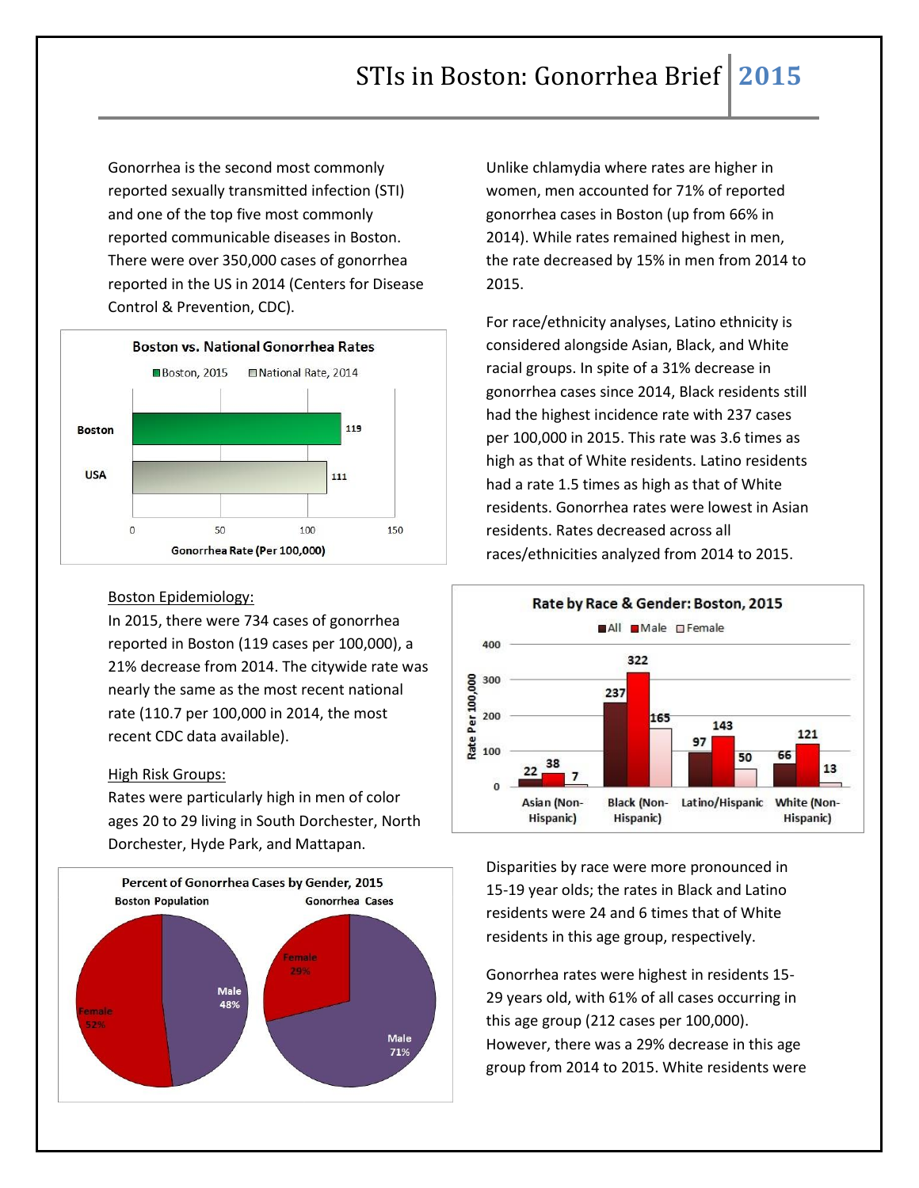Gonorrhea is the second most commonly reported sexually transmitted infection (STI) and one of the top five most commonly reported communicable diseases in Boston. There were over 350,000 cases of gonorrhea reported in the US in 2014 (Centers for Disease Control & Prevention, CDC).



## Boston Epidemiology:

In 2015, there were 734 cases of gonorrhea reported in Boston (119 cases per 100,000), a 21% decrease from 2014. The citywide rate was nearly the same as the most recent national rate (110.7 per 100,000 in 2014, the most recent CDC data available).

## High Risk Groups:

Rates were particularly high in men of color ages 20 to 29 living in South Dorchester, North Dorchester, Hyde Park, and Mattapan.



Unlike chlamydia where rates are higher in women, men accounted for 71% of reported gonorrhea cases in Boston (up from 66% in 2014). While rates remained highest in men, the rate decreased by 15% in men from 2014 to 2015.

For race/ethnicity analyses, Latino ethnicity is considered alongside Asian, Black, and White racial groups. In spite of a 31% decrease in gonorrhea cases since 2014, Black residents still had the highest incidence rate with 237 cases per 100,000 in 2015. This rate was 3.6 times as high as that of White residents. Latino residents had a rate 1.5 times as high as that of White residents. Gonorrhea rates were lowest in Asian residents. Rates decreased across all races/ethnicities analyzed from 2014 to 2015.



Disparities by race were more pronounced in 15-19 year olds; the rates in Black and Latino residents were 24 and 6 times that of White residents in this age group, respectively.

Gonorrhea rates were highest in residents 15- 29 years old, with 61% of all cases occurring in this age group (212 cases per 100,000). However, there was a 29% decrease in this age group from 2014 to 2015. White residents were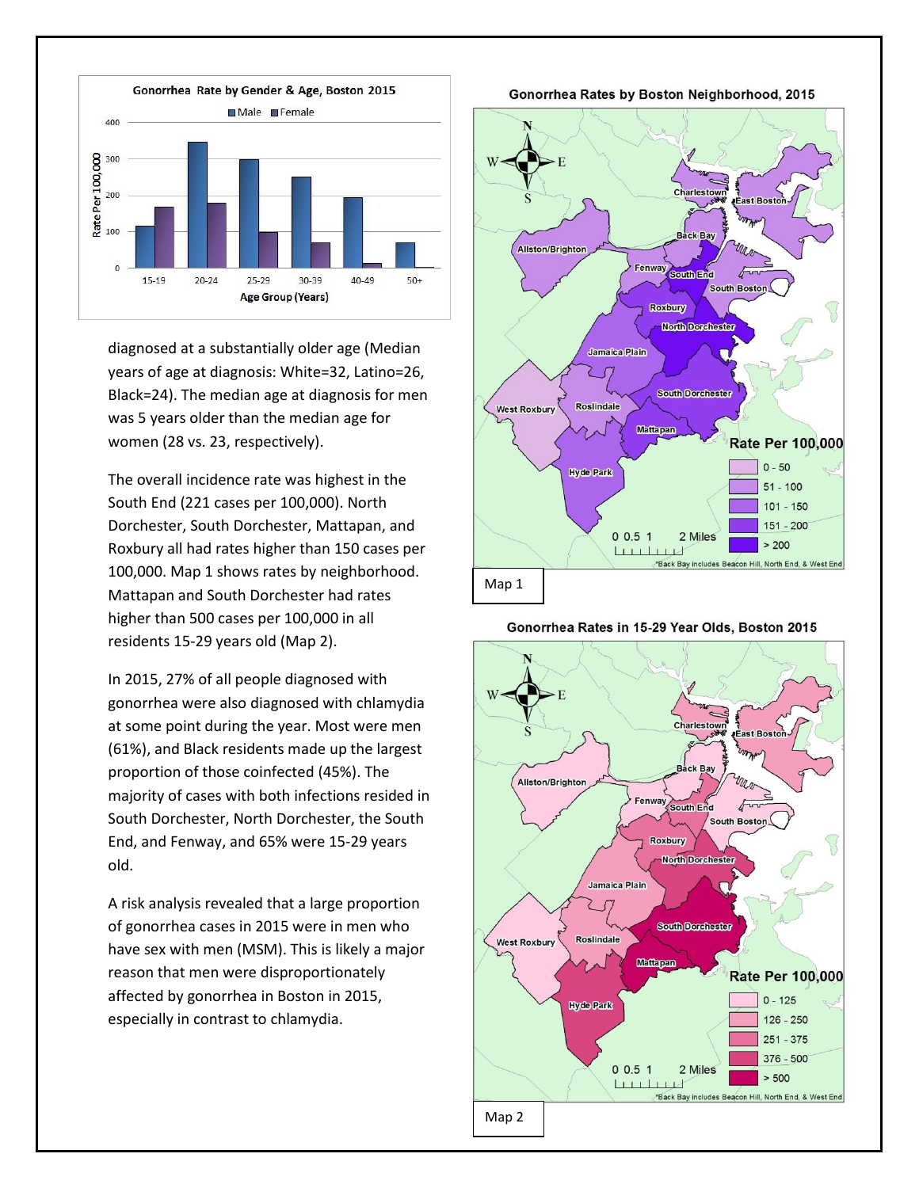

diagnosed at a substantially older age (Median years of age at diagnosis: White=32, Latino=26, Black=24). The median age at diagnosis for men was 5 years older than the median age for women (28 vs. 23, respectively).

The overall incidence rate was highest in the South End (221 cases per 100,000). North Dorchester, South Dorchester, Mattapan, and Roxbury all had rates higher than 150 cases per 100,000. Map 1 shows rates by neighborhood. Mattapan and South Dorchester had rates higher than 500 cases per 100,000 in all residents 15-29 years old (Map 2).

In 2015, 27% of all people diagnosed with gonorrhea were also diagnosed with chlamydia at some point during the year. Most were men (61%), and Black residents made up the largest proportion of those coinfected (45%). The majority of cases with both infections resided in South Dorchester, North Dorchester, the South End, and Fenway, and 65% were 15-29 years old.

A risk analysis revealed that a large proportion of gonorrhea cases in 2015 were in men who have sex with men (MSM). This is likely a major reason that men were disproportionately affected by gonorrhea in Boston in 2015, especially in contrast to chlamydia.

Gonorrhea Rates by Boston Neighborhood, 2015



Gonorrhea Rates in 15-29 Year Olds, Boston 2015